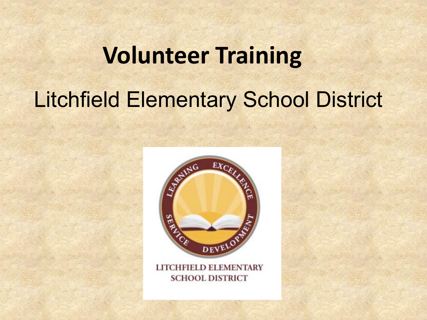# **Volunteer Training**  Litchfield Elementary School District



LITCHFIELD ELEMENTARY **SCHOOL DISTRICT**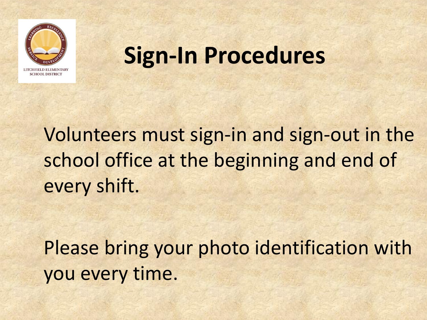

### **Sign-In Procedures**

Volunteers must sign-in and sign-out in the school office at the beginning and end of every shift.

Please bring your photo identification with you every time.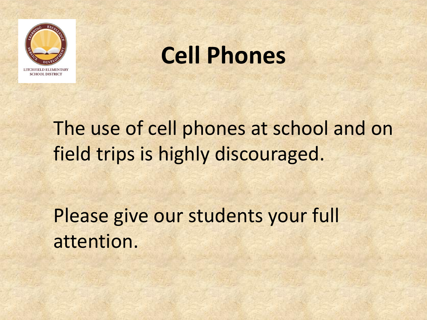

### **Cell Phones**

The use of cell phones at school and on field trips is highly discouraged.

Please give our students your full attention.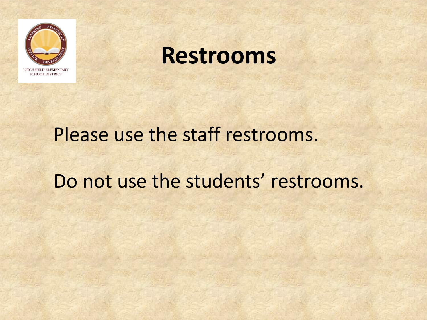

#### **Restrooms**

# Please use the staff restrooms.

#### Do not use the students' restrooms.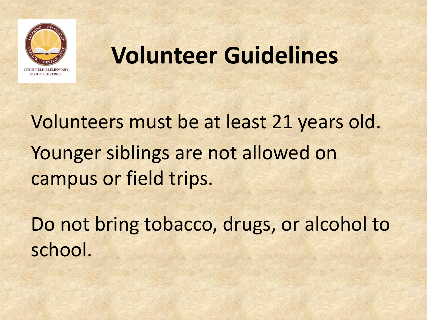

### **Volunteer Guidelines**

Volunteers must be at least 21 years old. Younger siblings are not allowed on campus or field trips.

Do not bring tobacco, drugs, or alcohol to school.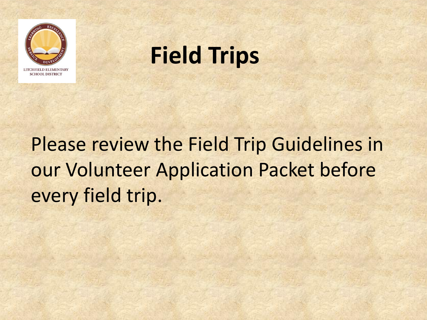

### **Field Trips**

### Please review the Field Trip Guidelines in our Volunteer Application Packet before every field trip.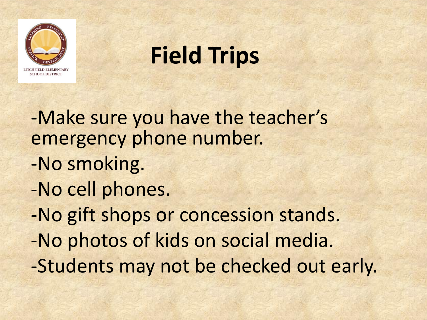

### **Field Trips**

-Make sure you have the teacher's emergency phone number.

- -No smoking.
- -No cell phones.

-No gift shops or concession stands.

-No photos of kids on social media.

-Students may not be checked out early.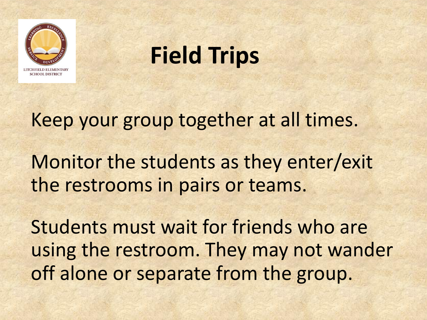

### **Field Trips**

Keep your group together at all times.

Monitor the students as they enter/exit the restrooms in pairs or teams.

Students must wait for friends who are using the restroom. They may not wander off alone or separate from the group.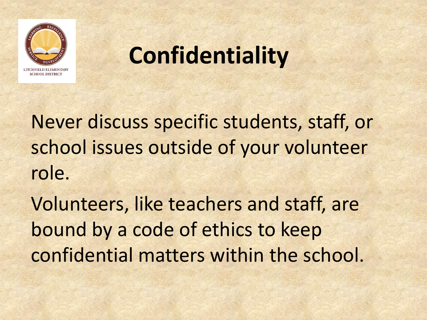

### **Confidentiality**

Never discuss specific students, staff, or school issues outside of your volunteer role.

Volunteers, like teachers and staff, are bound by a code of ethics to keep confidential matters within the school.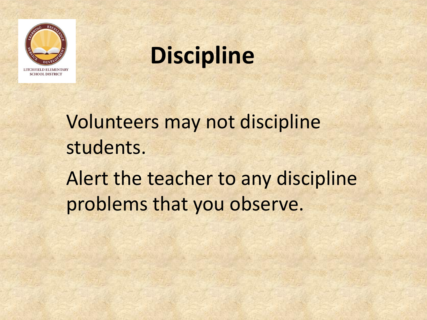

### **Discipline**

Volunteers may not discipline students. Alert the teacher to any discipline problems that you observe.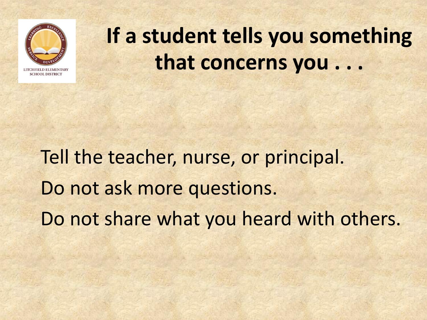

### **If a student tells you something that concerns you . . .**

### Tell the teacher, nurse, or principal. Do not ask more questions. Do not share what you heard with others.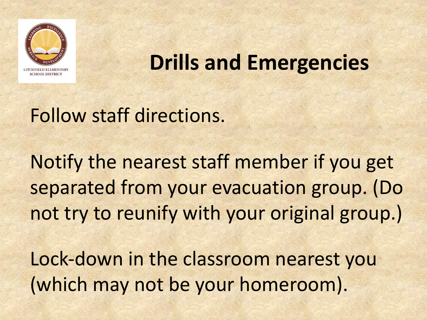

#### **Drills and Emergencies**

#### Follow staff directions.

Notify the nearest staff member if you get separated from your evacuation group. (Do not try to reunify with your original group.)

Lock-down in the classroom nearest you (which may not be your homeroom).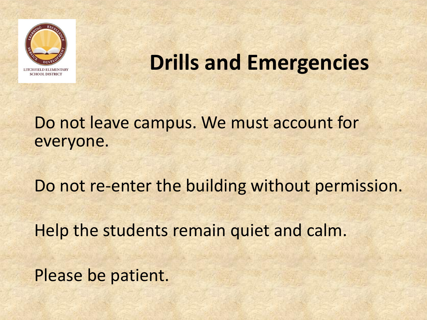

#### **Drills and Emergencies**

#### Do not leave campus. We must account for everyone.

Do not re-enter the building without permission.

Help the students remain quiet and calm.

Please be patient.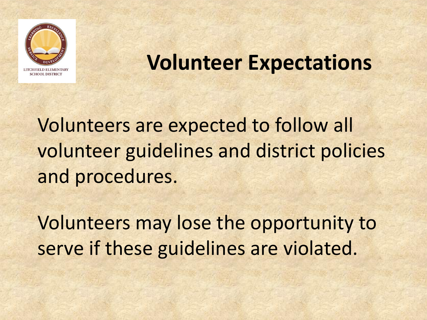

#### **Volunteer Expectations**

Volunteers are expected to follow all volunteer guidelines and district policies and procedures.

Volunteers may lose the opportunity to serve if these guidelines are violated.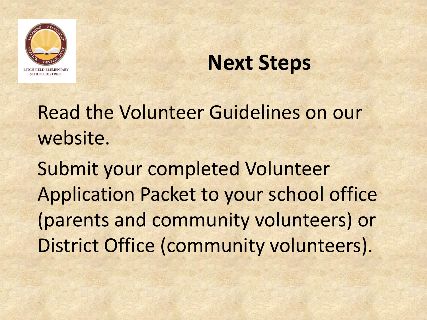

#### **Next Steps**

Read the Volunteer Guidelines on our website.

Submit your completed Volunteer Application Packet to your school office (parents and community volunteers) or District Office (community volunteers).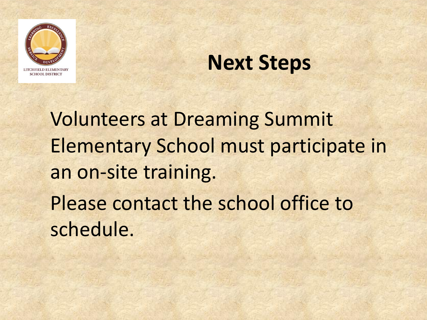

#### **Next Steps**

Volunteers at Dreaming Summit Elementary School must participate in an on-site training. Please contact the school office to schedule.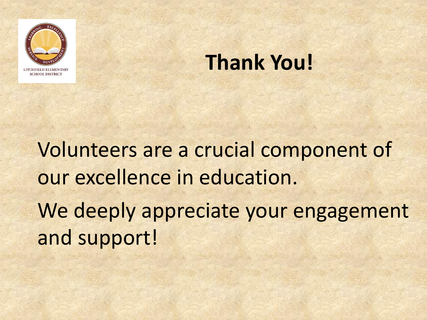

#### **Thank You!**

Volunteers are a crucial component of our excellence in education. We deeply appreciate your engagement and support!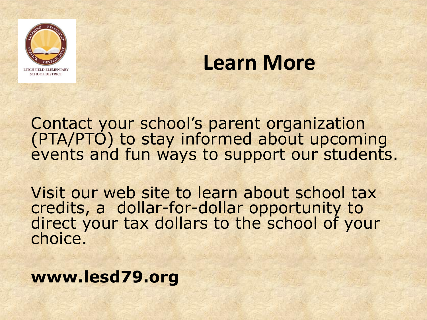

#### **Learn More**

Contact your school's parent organization (PTA/PTO) to stay informed about upcoming events and fun ways to support our students.

Visit our web site to learn about school tax credits, a dollar-for-dollar opportunity to direct your tax dollars to the school of your choice.

**www.lesd79.org**